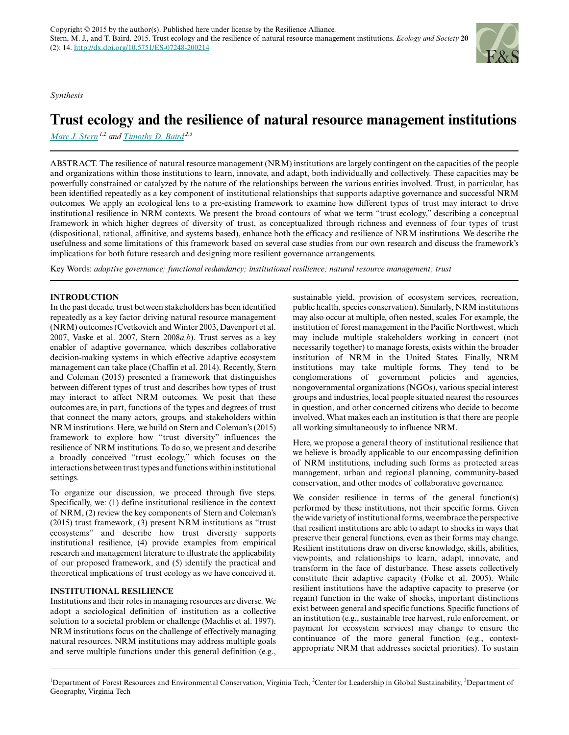*Synthesis*

# **Trust ecology and the resilience of natural resource management institutions**

*[Marc J. Stern](mailto:mjstern@vt.edu)*<sup>1,2</sup> and *[Timothy D. Baird](mailto:tbaird@vt.edu)*<sup>2,3</sup>

ABSTRACT. The resilience of natural resource management (NRM) institutions are largely contingent on the capacities of the people and organizations within those institutions to learn, innovate, and adapt, both individually and collectively. These capacities may be powerfully constrained or catalyzed by the nature of the relationships between the various entities involved. Trust, in particular, has been identified repeatedly as a key component of institutional relationships that supports adaptive governance and successful NRM outcomes. We apply an ecological lens to a pre-existing framework to examine how different types of trust may interact to drive institutional resilience in NRM contexts. We present the broad contours of what we term "trust ecology," describing a conceptual framework in which higher degrees of diversity of trust, as conceptualized through richness and evenness of four types of trust (dispositional, rational, affinitive, and systems based), enhance both the efficacy and resilience of NRM institutions. We describe the usefulness and some limitations of this framework based on several case studies from our own research and discuss the framework's implications for both future research and designing more resilient governance arrangements.

Key Words: *adaptive governance; functional redundancy; institutional resilience; natural resource management; trust*

# **INTRODUCTION**

In the past decade, trust between stakeholders has been identified repeatedly as a key factor driving natural resource management (NRM) outcomes (Cvetkovich and Winter 2003, Davenport et al. 2007, Vaske et al. 2007, Stern 2008*a,b*). Trust serves as a key enabler of adaptive governance, which describes collaborative decision-making systems in which effective adaptive ecosystem management can take place (Chaffin et al. 2014). Recently, Stern and Coleman (2015) presented a framework that distinguishes between different types of trust and describes how types of trust may interact to affect NRM outcomes. We posit that these outcomes are, in part, functions of the types and degrees of trust that connect the many actors, groups, and stakeholders within NRM institutions. Here, we build on Stern and Coleman's (2015) framework to explore how "trust diversity" influences the resilience of NRM institutions. To do so, we present and describe a broadly conceived "trust ecology," which focuses on the interactions between trust types and functions within institutional settings.

To organize our discussion, we proceed through five steps. Specifically, we: (1) define institutional resilience in the context of NRM, (2) review the key components of Stern and Coleman's (2015) trust framework, (3) present NRM institutions as "trust ecosystems" and describe how trust diversity supports institutional resilience, (4) provide examples from empirical research and management literature to illustrate the applicability of our proposed framework, and (5) identify the practical and theoretical implications of trust ecology as we have conceived it.

# **INSTITUTIONAL RESILIENCE**

Institutions and their roles in managing resources are diverse. We adopt a sociological definition of institution as a collective solution to a societal problem or challenge (Machlis et al. 1997). NRM institutions focus on the challenge of effectively managing natural resources. NRM institutions may address multiple goals and serve multiple functions under this general definition (e.g., sustainable yield, provision of ecosystem services, recreation, public health, species conservation). Similarly, NRM institutions may also occur at multiple, often nested, scales. For example, the institution of forest management in the Pacific Northwest, which may include multiple stakeholders working in concert (not necessarily together) to manage forests, exists within the broader institution of NRM in the United States. Finally, NRM institutions may take multiple forms. They tend to be conglomerations of government policies and agencies, nongovernmental organizations (NGOs), various special interest groups and industries, local people situated nearest the resources in question, and other concerned citizens who decide to become involved. What makes each an institution is that there are people all working simultaneously to influence NRM.

Here, we propose a general theory of institutional resilience that we believe is broadly applicable to our encompassing definition of NRM institutions, including such forms as protected areas management, urban and regional planning, community-based conservation, and other modes of collaborative governance.

We consider resilience in terms of the general function(s) performed by these institutions, not their specific forms. Given the wide variety of institutional forms, we embrace the perspective that resilient institutions are able to adapt to shocks in ways that preserve their general functions, even as their forms may change. Resilient institutions draw on diverse knowledge, skills, abilities, viewpoints, and relationships to learn, adapt, innovate, and transform in the face of disturbance. These assets collectively constitute their adaptive capacity (Folke et al. 2005). While resilient institutions have the adaptive capacity to preserve (or regain) function in the wake of shocks, important distinctions exist between general and specific functions. Specific functions of an institution (e.g., sustainable tree harvest, rule enforcement, or payment for ecosystem services) may change to ensure the continuance of the more general function (e.g., contextappropriate NRM that addresses societal priorities). To sustain

<sup>1</sup>Department of Forest Resources and Environmental Conservation, Virginia Tech, <sup>2</sup>Center for Leadership in Global Sustainability, <sup>3</sup>Department of Geography, Virginia Tech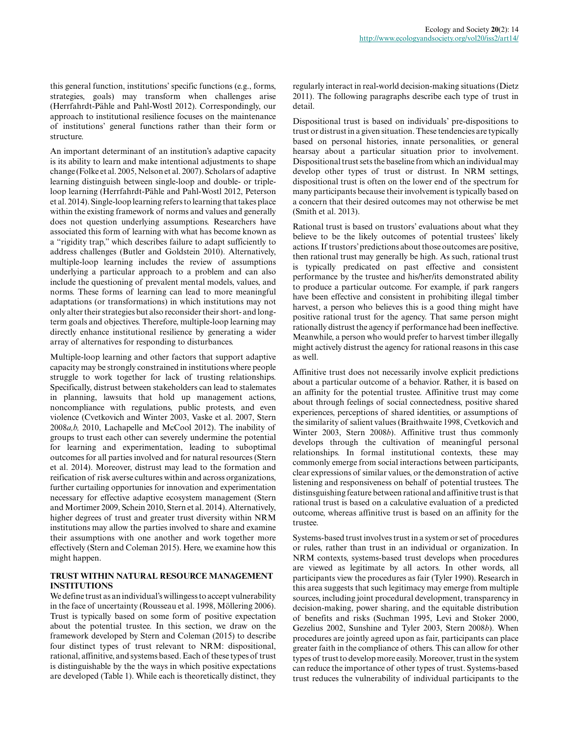this general function, institutions' specific functions (e.g., forms, strategies, goals) may transform when challenges arise (Herrfahrdt-Pähle and Pahl-Wostl 2012). Correspondingly, our approach to institutional resilience focuses on the maintenance of institutions' general functions rather than their form or structure.

An important determinant of an institution's adaptive capacity is its ability to learn and make intentional adjustments to shape change (Folke et al. 2005, Nelson et al. 2007). Scholars of adaptive learning distinguish between single-loop and double- or tripleloop learning (Herrfahrdt-Pähle and Pahl-Wostl 2012, Peterson et al. 2014). Single-loop learning refers to learning that takes place within the existing framework of norms and values and generally does not question underlying assumptions. Researchers have associated this form of learning with what has become known as a "rigidity trap," which describes failure to adapt sufficiently to address challenges (Butler and Goldstein 2010). Alternatively, multiple-loop learning includes the review of assumptions underlying a particular approach to a problem and can also include the questioning of prevalent mental models, values, and norms. These forms of learning can lead to more meaningful adaptations (or transformations) in which institutions may not only alter their strategies but also reconsider their short- and longterm goals and objectives. Therefore, multiple-loop learning may directly enhance institutional resilience by generating a wider array of alternatives for responding to disturbances.

Multiple-loop learning and other factors that support adaptive capacity may be strongly constrained in institutions where people struggle to work together for lack of trusting relationships. Specifically, distrust between stakeholders can lead to stalemates in planning, lawsuits that hold up management actions, noncompliance with regulations, public protests, and even violence (Cvetkovich and Winter 2003, Vaske et al. 2007, Stern 2008*a,b,* 2010, Lachapelle and McCool 2012). The inability of groups to trust each other can severely undermine the potential for learning and experimentation, leading to suboptimal outcomes for all parties involved and for natural resources (Stern et al. 2014). Moreover, distrust may lead to the formation and reification of risk averse cultures within and across organizations, further curtailing opportunies for innovation and experimentation necessary for effective adaptive ecosystem management (Stern and Mortimer 2009, Schein 2010, Stern et al. 2014). Alternatively, higher degrees of trust and greater trust diversity within NRM institutions may allow the parties involved to share and examine their assumptions with one another and work together more effectively (Stern and Coleman 2015). Here, we examine how this might happen.

#### **TRUST WITHIN NATURAL RESOURCE MANAGEMENT INSTITUTIONS**

We define trust as an individual's willingess to accept vulnerability in the face of uncertainty (Rousseau et al. 1998, Möllering 2006). Trust is typically based on some form of positive expectation about the potential trustee. In this section, we draw on the framework developed by Stern and Coleman (2015) to describe four distinct types of trust relevant to NRM: dispositional, rational, affinitive, and systems based. Each of these types of trust is distinguishable by the the ways in which positive expectations are developed (Table 1). While each is theoretically distinct, they

regularly interact in real-world decision-making situations (Dietz 2011). The following paragraphs describe each type of trust in detail.

Dispositional trust is based on individuals' pre-dispositions to trust or distrust in a given situation. These tendencies are typically based on personal histories, innate personalities, or general hearsay about a particular situation prior to involvement. Dispositional trust sets the baseline from which an individual may develop other types of trust or distrust. In NRM settings, dispositional trust is often on the lower end of the spectrum for many participants because their involvement is typically based on a concern that their desired outcomes may not otherwise be met (Smith et al. 2013).

Rational trust is based on trustors' evaluations about what they believe to be the likely outcomes of potential trustees' likely actions. If trustors' predictions about those outcomes are positive, then rational trust may generally be high. As such, rational trust is typically predicated on past effective and consistent performance by the trustee and his/her/its demonstrated ability to produce a particular outcome. For example, if park rangers have been effective and consistent in prohibiting illegal timber harvest, a person who believes this is a good thing might have positive rational trust for the agency. That same person might rationally distrust the agency if performance had been ineffective. Meanwhile, a person who would prefer to harvest timber illegally might actively distrust the agency for rational reasons in this case as well.

Affinitive trust does not necessarily involve explicit predictions about a particular outcome of a behavior. Rather, it is based on an affinity for the potential trustee. Affinitive trust may come about through feelings of social connectedness, positive shared experiences, perceptions of shared identities, or assumptions of the similarity of salient values (Braithwaite 1998, Cvetkovich and Winter 2003, Stern 2008*b*). Affinitive trust thus commonly develops through the cultivation of meaningful personal relationships. In formal institutional contexts, these may commonly emerge from social interactions between participants, clear expressions of similar values, or the demonstration of active listening and responsiveness on behalf of potential trustees. The distinsguishing feature between rational and affinitive trust is that rational trust is based on a calculative evaluation of a predicted outcome, whereas affinitive trust is based on an affinity for the trustee.

Systems-based trust involves trust in a system or set of procedures or rules, rather than trust in an individual or organization. In NRM contexts, systems-based trust develops when procedures are viewed as legitimate by all actors. In other words, all participants view the procedures as fair (Tyler 1990). Research in this area suggests that such legitimacy may emerge from multiple sources, including joint procedural development, transparency in decision-making, power sharing, and the equitable distribution of benefits and risks (Suchman 1995, Levi and Stoker 2000, Gezelius 2002, Sunshine and Tyler 2003, Stern 2008*b*). When procedures are jointly agreed upon as fair, participants can place greater faith in the compliance of others. This can allow for other types of trust to develop more easily. Moreover, trust in the system can reduce the importance of other types of trust. Systems-based trust reduces the vulnerability of individual participants to the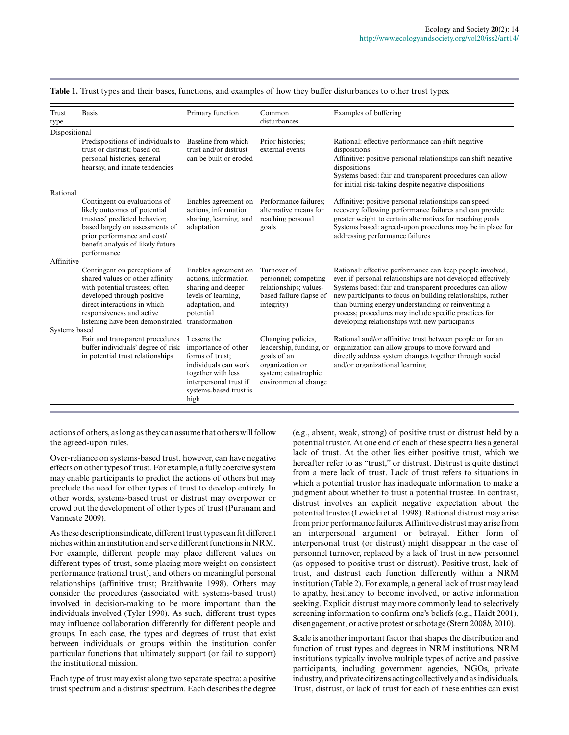| Trust<br>type | <b>Basis</b>                                                                                                                                                                                                                                    | Primary function                                                                                                                                                | Common<br>disturbances                                                                                                          | Examples of buffering                                                                                                                                                                                                                                                                                                                                                                                                  |
|---------------|-------------------------------------------------------------------------------------------------------------------------------------------------------------------------------------------------------------------------------------------------|-----------------------------------------------------------------------------------------------------------------------------------------------------------------|---------------------------------------------------------------------------------------------------------------------------------|------------------------------------------------------------------------------------------------------------------------------------------------------------------------------------------------------------------------------------------------------------------------------------------------------------------------------------------------------------------------------------------------------------------------|
| Dispositional |                                                                                                                                                                                                                                                 |                                                                                                                                                                 |                                                                                                                                 |                                                                                                                                                                                                                                                                                                                                                                                                                        |
| Rational      | Predispositions of individuals to<br>trust or distrust; based on<br>personal histories, general<br>hearsay, and innate tendencies                                                                                                               | Baseline from which<br>trust and/or distrust<br>can be built or eroded                                                                                          | Prior histories:<br>external events                                                                                             | Rational: effective performance can shift negative<br>dispositions<br>Affinitive: positive personal relationships can shift negative<br>dispositions<br>Systems based: fair and transparent procedures can allow<br>for initial risk-taking despite negative dispositions                                                                                                                                              |
|               | Contingent on evaluations of<br>likely outcomes of potential<br>trustees' predicted behavior;<br>based largely on assessments of<br>prior performance and cost/<br>benefit analysis of likely future<br>performance                             | Enables agreement on<br>actions, information<br>sharing, learning, and<br>adaptation                                                                            | Performance failures:<br>alternative means for<br>reaching personal<br>goals                                                    | Affinitive: positive personal relationships can speed<br>recovery following performance failures and can provide<br>greater weight to certain alternatives for reaching goals<br>Systems based: agreed-upon procedures may be in place for<br>addressing performance failures                                                                                                                                          |
| Affinitive    |                                                                                                                                                                                                                                                 |                                                                                                                                                                 |                                                                                                                                 |                                                                                                                                                                                                                                                                                                                                                                                                                        |
|               | Contingent on perceptions of<br>shared values or other affinity<br>with potential trustees; often<br>developed through positive<br>direct interactions in which<br>responsiveness and active<br>listening have been demonstrated transformation | Enables agreement on<br>actions, information<br>sharing and deeper<br>levels of learning.<br>adaptation, and<br>potential                                       | Turnover of<br>personnel; competing<br>relationships; values-<br>based failure (lapse of<br>integrity)                          | Rational: effective performance can keep people involved,<br>even if personal relationships are not developed effectively<br>Systems based: fair and transparent procedures can allow<br>new participants to focus on building relationships, rather<br>than burning energy understanding or reinventing a<br>process; procedures may include specific practices for<br>developing relationships with new participants |
| Systems based |                                                                                                                                                                                                                                                 |                                                                                                                                                                 |                                                                                                                                 |                                                                                                                                                                                                                                                                                                                                                                                                                        |
|               | Fair and transparent procedures<br>buffer individuals' degree of risk<br>in potential trust relationships                                                                                                                                       | Lessens the<br>importance of other<br>forms of trust:<br>individuals can work<br>together with less<br>interpersonal trust if<br>systems-based trust is<br>high | Changing policies,<br>leadership, funding, or<br>goals of an<br>organization or<br>system; catastrophic<br>environmental change | Rational and/or affinitive trust between people or for an<br>organization can allow groups to move forward and<br>directly address system changes together through social<br>and/or organizational learning                                                                                                                                                                                                            |

**Table 1.** Trust types and their bases, functions, and examples of how they buffer disturbances to other trust types.

actions of others, as long as they can assume that others will follow the agreed-upon rules.

Over-reliance on systems-based trust, however, can have negative effects on other types of trust. For example, a fully coercive system may enable participants to predict the actions of others but may preclude the need for other types of trust to develop entirely. In other words, systems-based trust or distrust may overpower or crowd out the development of other types of trust (Puranam and Vanneste 2009).

As these descriptions indicate, different trust types can fit different niches within an institution and serve different functions in NRM. For example, different people may place different values on different types of trust, some placing more weight on consistent performance (rational trust), and others on meaningful personal relationships (affinitive trust; Braithwaite 1998). Others may consider the procedures (associated with systems-based trust) involved in decision-making to be more important than the individuals involved (Tyler 1990). As such, different trust types may influence collaboration differently for different people and groups. In each case, the types and degrees of trust that exist between individuals or groups within the institution confer particular functions that ultimately support (or fail to support) the institutional mission.

Each type of trust may exist along two separate spectra: a positive trust spectrum and a distrust spectrum. Each describes the degree (e.g., absent, weak, strong) of positive trust or distrust held by a potential trustor. At one end of each of these spectra lies a general lack of trust. At the other lies either positive trust, which we hereafter refer to as "trust," or distrust. Distrust is quite distinct from a mere lack of trust. Lack of trust refers to situations in which a potential trustor has inadequate information to make a judgment about whether to trust a potential trustee. In contrast, distrust involves an explicit negative expectation about the potential trustee (Lewicki et al. 1998). Rational distrust may arise from prior performance failures. Affinitive distrust may arise from an interpersonal argument or betrayal. Either form of interpersonal trust (or distrust) might disappear in the case of personnel turnover, replaced by a lack of trust in new personnel (as opposed to positive trust or distrust). Positive trust, lack of trust, and distrust each function differently within a NRM institution (Table 2). For example, a general lack of trust may lead to apathy, hesitancy to become involved, or active information seeking. Explicit distrust may more commonly lead to selectively screening information to confirm one's beliefs (e.g., Haidt 2001), disengagement, or active protest or sabotage (Stern 2008*b,* 2010).

Scale is another important factor that shapes the distribution and function of trust types and degrees in NRM institutions. NRM institutions typically involve multiple types of active and passive participants, including government agencies, NGOs, private industry, and private citizens acting collectively and as individuals. Trust, distrust, or lack of trust for each of these entities can exist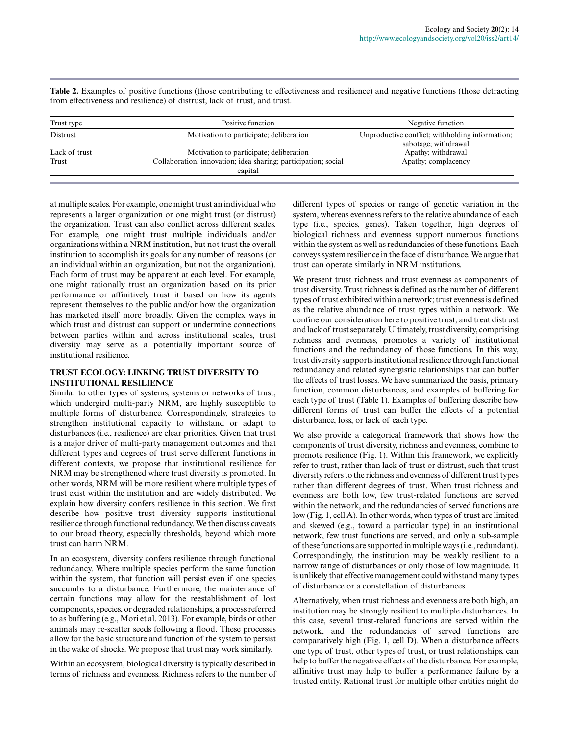**Table 2.** Examples of positive functions (those contributing to effectiveness and resilience) and negative functions (those detracting from effectiveness and resilience) of distrust, lack of trust, and trust.

| Trust type    | Positive function                                                         | Negative function                                                       |  |
|---------------|---------------------------------------------------------------------------|-------------------------------------------------------------------------|--|
| Distrust      | Motivation to participate; deliberation                                   | Unproductive conflict; withholding information;<br>sabotage; withdrawal |  |
| Lack of trust | Motivation to participate; deliberation                                   | Apathy; withdrawal                                                      |  |
| Trust         | Collaboration; innovation; idea sharing; participation; social<br>capital | Apathy; complacency                                                     |  |

at multiple scales. For example, one might trust an individual who represents a larger organization or one might trust (or distrust) the organization. Trust can also conflict across different scales. For example, one might trust multiple individuals and/or organizations within a NRM institution, but not trust the overall institution to accomplish its goals for any number of reasons (or an individual within an organization, but not the organization). Each form of trust may be apparent at each level. For example, one might rationally trust an organization based on its prior performance or affinitively trust it based on how its agents represent themselves to the public and/or how the organization has marketed itself more broadly. Given the complex ways in which trust and distrust can support or undermine connections between parties within and across institutional scales, trust diversity may serve as a potentially important source of institutional resilience.

#### **TRUST ECOLOGY: LINKING TRUST DIVERSITY TO INSTITUTIONAL RESILIENCE**

Similar to other types of systems, systems or networks of trust, which undergird multi-party NRM, are highly susceptible to multiple forms of disturbance. Correspondingly, strategies to strengthen institutional capacity to withstand or adapt to disturbances (i.e., resilience) are clear priorities. Given that trust is a major driver of multi-party management outcomes and that different types and degrees of trust serve different functions in different contexts, we propose that institutional resilience for NRM may be strengthened where trust diversity is promoted. In other words, NRM will be more resilient where multiple types of trust exist within the institution and are widely distributed. We explain how diversity confers resilience in this section. We first describe how positive trust diversity supports institutional resilience through functional redundancy. We then discuss caveats to our broad theory, especially thresholds, beyond which more trust can harm NRM.

In an ecosystem, diversity confers resilience through functional redundancy. Where multiple species perform the same function within the system, that function will persist even if one species succumbs to a disturbance. Furthermore, the maintenance of certain functions may allow for the reestablishment of lost components, species, or degraded relationships, a process referred to as buffering (e.g., Mori et al. 2013). For example, birds or other animals may re-scatter seeds following a flood. These processes allow for the basic structure and function of the system to persist in the wake of shocks. We propose that trust may work similarly.

Within an ecosystem, biological diversity is typically described in terms of richness and evenness. Richness refers to the number of different types of species or range of genetic variation in the system, whereas evenness refers to the relative abundance of each type (i.e., species, genes). Taken together, high degrees of biological richness and evenness support numerous functions within the system as well as redundancies of these functions. Each conveys system resilience in the face of disturbance. We argue that trust can operate similarly in NRM institutions.

We present trust richness and trust evenness as components of trust diversity. Trust richness is defined as the number of different types of trust exhibited within a network; trust evenness is defined as the relative abundance of trust types within a network. We confine our consideration here to positive trust, and treat distrust and lack of trust separately. Ultimately, trust diversity, comprising richness and evenness, promotes a variety of institutional functions and the redundancy of those functions. In this way, trust diversity supports institutional resilience through functional redundancy and related synergistic relationships that can buffer the effects of trust losses. We have summarized the basis, primary function, common disturbances, and examples of buffering for each type of trust (Table 1). Examples of buffering describe how different forms of trust can buffer the effects of a potential disturbance, loss, or lack of each type.

We also provide a categorical framework that shows how the components of trust diversity, richness and evenness, combine to promote resilience (Fig. 1). Within this framework, we explicitly refer to trust, rather than lack of trust or distrust, such that trust diversity refers to the richness and evenness of different trust types rather than different degrees of trust. When trust richness and evenness are both low, few trust-related functions are served within the network, and the redundancies of served functions are low (Fig. 1, cell A). In other words, when types of trust are limited and skewed (e.g., toward a particular type) in an institutional network, few trust functions are served, and only a sub-sample of these functions are supported in multiple ways (i.e., redundant). Correspondingly, the institution may be weakly resilient to a narrow range of disturbances or only those of low magnitude. It is unlikely that effective management could withstand many types of disturbance or a constellation of disturbances.

Alternatively, when trust richness and evenness are both high, an institution may be strongly resilient to multiple disturbances. In this case, several trust-related functions are served within the network, and the redundancies of served functions are comparatively high (Fig. 1, cell D). When a disturbance affects one type of trust, other types of trust, or trust relationships, can help to buffer the negative effects of the disturbance. For example, affinitive trust may help to buffer a performance failure by a trusted entity. Rational trust for multiple other entities might do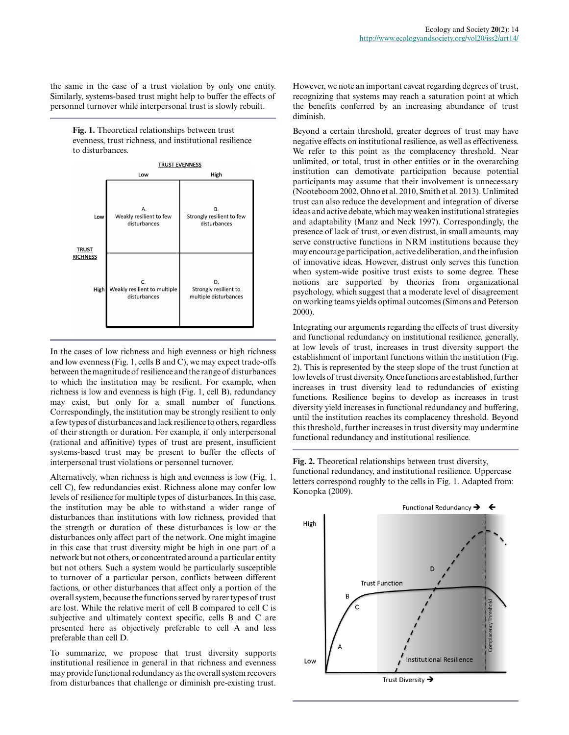the same in the case of a trust violation by only one entity. Similarly, systems-based trust might help to buffer the effects of personnel turnover while interpersonal trust is slowly rebuilt.

**Fig. 1.** Theoretical relationships between trust evenness, trust richness, and institutional resilience to disturbances.



In the cases of low richness and high evenness or high richness and low evenness (Fig. 1, cells B and C), we may expect trade-offs between the magnitude of resilience and the range of disturbances to which the institution may be resilient. For example, when richness is low and evenness is high (Fig. 1, cell B), redundancy may exist, but only for a small number of functions. Correspondingly, the institution may be strongly resilient to only a few types of disturbances and lack resilience to others, regardless of their strength or duration. For example, if only interpersonal (rational and affinitive) types of trust are present, insufficient systems-based trust may be present to buffer the effects of interpersonal trust violations or personnel turnover.

Alternatively, when richness is high and evenness is low (Fig. 1, cell C), few redundancies exist. Richness alone may confer low levels of resilience for multiple types of disturbances. In this case, the institution may be able to withstand a wider range of disturbances than institutions with low richness, provided that the strength or duration of these disturbances is low or the disturbances only affect part of the network. One might imagine in this case that trust diversity might be high in one part of a network but not others, or concentrated around a particular entity but not others. Such a system would be particularly susceptible to turnover of a particular person, conflicts between different factions, or other disturbances that affect only a portion of the overall system, because the functions served by rarer types of trust are lost. While the relative merit of cell B compared to cell C is subjective and ultimately context specific, cells B and C are presented here as objectively preferable to cell A and less preferable than cell D.

To summarize, we propose that trust diversity supports institutional resilience in general in that richness and evenness may provide functional redundancy as the overall system recovers from disturbances that challenge or diminish pre-existing trust. However, we note an important caveat regarding degrees of trust, recognizing that systems may reach a saturation point at which the benefits conferred by an increasing abundance of trust diminish.

Beyond a certain threshold, greater degrees of trust may have negative effects on institutional resilience, as well as effectiveness. We refer to this point as the complacency threshold. Near unlimited, or total, trust in other entities or in the overarching institution can demotivate participation because potential participants may assume that their involvement is unnecessary (Nooteboom 2002, Ohno et al. 2010, Smith et al. 2013). Unlimited trust can also reduce the development and integration of diverse ideas and active debate, which may weaken institutional strategies and adaptability (Manz and Neck 1997). Correspondingly, the presence of lack of trust, or even distrust, in small amounts, may serve constructive functions in NRM institutions because they may encourage participation, active deliberation, and the infusion of innovative ideas. However, distrust only serves this function when system-wide positive trust exists to some degree. These notions are supported by theories from organizational psychology, which suggest that a moderate level of disagreement on working teams yields optimal outcomes (Simons and Peterson 2000).

Integrating our arguments regarding the effects of trust diversity and functional redundancy on institutional resilience, generally, at low levels of trust, increases in trust diversity support the establishment of important functions within the institution (Fig. 2). This is represented by the steep slope of the trust function at low levels of trust diversity. Once functions are established, further increases in trust diversity lead to redundancies of existing functions. Resilience begins to develop as increases in trust diversity yield increases in functional redundancy and buffering, until the institution reaches its complacency threshold. Beyond this threshold, further increases in trust diversity may undermine functional redundancy and institutional resilience.

**Fig. 2.** Theoretical relationships between trust diversity, functional redundancy, and institutional resilience. Uppercase letters correspond roughly to the cells in Fig. 1. Adapted from: Konopka (2009).

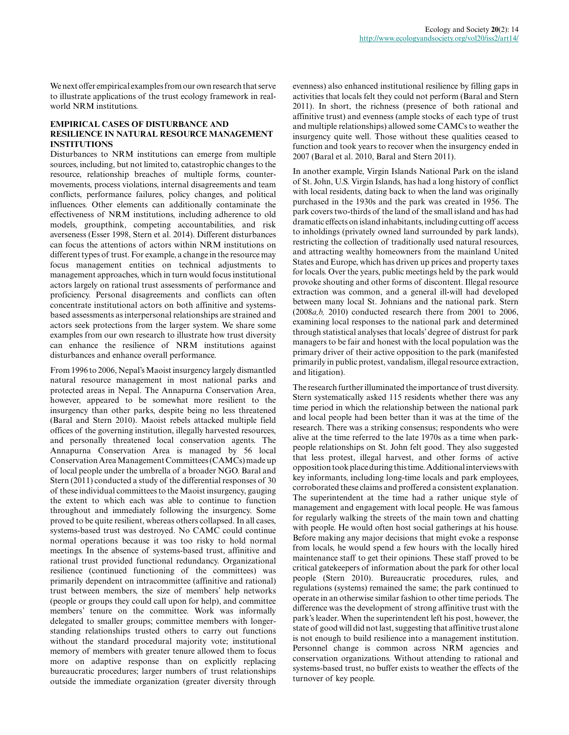We next offer empirical examples from our own research that serve to illustrate applications of the trust ecology framework in realworld NRM institutions.

#### **EMPIRICAL CASES OF DISTURBANCE AND RESILIENCE IN NATURAL RESOURCE MANAGEMENT INSTITUTIONS**

Disturbances to NRM institutions can emerge from multiple sources, including, but not limited to, catastrophic changes to the resource, relationship breaches of multiple forms, countermovements, process violations, internal disagreements and team conflicts, performance failures, policy changes, and political influences. Other elements can additionally contaminate the effectiveness of NRM institutions, including adherence to old models, groupthink, competing accountabilities, and risk averseness (Esser 1998, Stern et al. 2014). Different disturbances can focus the attentions of actors within NRM institutions on different types of trust. For example, a change in the resource may focus management entities on technical adjustments to management approaches, which in turn would focus institutional actors largely on rational trust assessments of performance and proficiency. Personal disagreements and conflicts can often concentrate institutional actors on both affinitive and systemsbased assessments as interpersonal relationships are strained and actors seek protections from the larger system. We share some examples from our own research to illustrate how trust diversity can enhance the resilience of NRM institutions against disturbances and enhance overall performance.

From 1996 to 2006, Nepal's Maoist insurgency largely dismantled natural resource management in most national parks and protected areas in Nepal. The Annapurna Conservation Area, however, appeared to be somewhat more resilient to the insurgency than other parks, despite being no less threatened (Baral and Stern 2010). Maoist rebels attacked multiple field offices of the governing institution, illegally harvested resources, and personally threatened local conservation agents. The Annapurna Conservation Area is managed by 56 local Conservation Area Management Committees (CAMCs) made up of local people under the umbrella of a broader NGO. Baral and Stern (2011) conducted a study of the differential responses of 30 of these individual committees to the Maoist insurgency, gauging the extent to which each was able to continue to function throughout and immediately following the insurgency. Some proved to be quite resilient, whereas others collapsed. In all cases, systems-based trust was destroyed. No CAMC could continue normal operations because it was too risky to hold normal meetings. In the absence of systems-based trust, affinitive and rational trust provided functional redundancy. Organizational resilience (continued functioning of the committees) was primarily dependent on intracommittee (affinitive and rational) trust between members, the size of members' help networks (people or groups they could call upon for help), and committee members' tenure on the committee. Work was informally delegated to smaller groups; committee members with longerstanding relationships trusted others to carry out functions without the standard procedural majority vote; institutional memory of members with greater tenure allowed them to focus more on adaptive response than on explicitly replacing bureaucratic procedures; larger numbers of trust relationships outside the immediate organization (greater diversity through

evenness) also enhanced institutional resilience by filling gaps in activities that locals felt they could not perform (Baral and Stern 2011). In short, the richness (presence of both rational and affinitive trust) and evenness (ample stocks of each type of trust and multiple relationships) allowed some CAMCs to weather the insurgency quite well. Those without these qualities ceased to function and took years to recover when the insurgency ended in 2007 (Baral et al. 2010, Baral and Stern 2011).

In another example, Virgin Islands National Park on the island of St. John, U.S. Virgin Islands, has had a long history of conflict with local residents, dating back to when the land was originally purchased in the 1930s and the park was created in 1956. The park covers two-thirds of the land of the small island and has had dramatic effects on island inhabitants, including cutting off access to inholdings (privately owned land surrounded by park lands), restricting the collection of traditionally used natural resources, and attracting wealthy homeowners from the mainland United States and Europe, which has driven up prices and property taxes for locals. Over the years, public meetings held by the park would provoke shouting and other forms of discontent. Illegal resource extraction was common, and a general ill-will had developed between many local St. Johnians and the national park. Stern (2008*a,b,* 2010) conducted research there from 2001 to 2006, examining local responses to the national park and determined through statistical analyses that locals' degree of distrust for park managers to be fair and honest with the local population was the primary driver of their active opposition to the park (manifested primarily in public protest, vandalism, illegal resource extraction, and litigation).

The research further illuminated the importance of trust diversity. Stern systematically asked 115 residents whether there was any time period in which the relationship between the national park and local people had been better than it was at the time of the research. There was a striking consensus; respondents who were alive at the time referred to the late 1970s as a time when parkpeople relationships on St. John felt good. They also suggested that less protest, illegal harvest, and other forms of active opposition took place during this time. Additional interviews with key informants, including long-time locals and park employees, corroborated these claims and proffered a consistent explanation. The superintendent at the time had a rather unique style of management and engagement with local people. He was famous for regularly walking the streets of the main town and chatting with people. He would often host social gatherings at his house. Before making any major decisions that might evoke a response from locals, he would spend a few hours with the locally hired maintenance staff to get their opinions. These staff proved to be critical gatekeepers of information about the park for other local people (Stern 2010). Bureaucratic procedures, rules, and regulations (systems) remained the same; the park continued to operate in an otherwise similar fashion to other time periods. The difference was the development of strong affinitive trust with the park's leader. When the superintendent left his post, however, the state of good will did not last, suggesting that affinitive trust alone is not enough to build resilience into a management institution. Personnel change is common across NRM agencies and conservation organizations. Without attending to rational and systems-based trust, no buffer exists to weather the effects of the turnover of key people.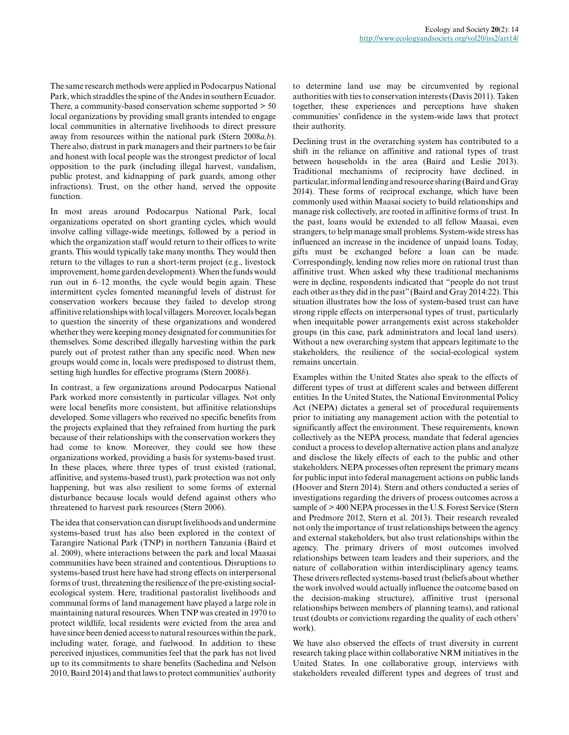The same research methods were applied in Podocarpus National Park, which straddles the spine of the Andes in southern Ecuador. There, a community-based conservation scheme supported > 50 local organizations by providing small grants intended to engage local communities in alternative livelihoods to direct pressure away from resources within the national park (Stern 2008*a,b*). There also, distrust in park managers and their partners to be fair and honest with local people was the strongest predictor of local opposition to the park (including illegal harvest, vandalism, public protest, and kidnapping of park guards, among other infractions). Trust, on the other hand, served the opposite function.

In most areas around Podocarpus National Park, local organizations operated on short granting cycles, which would involve calling village-wide meetings, followed by a period in which the organization staff would return to their offices to write grants. This would typically take many months. They would then return to the villages to run a short-term project (e.g., livestock improvement, home garden development). When the funds would run out in 6–12 months, the cycle would begin again. These intermittent cycles fomented meaningful levels of distrust for conservation workers because they failed to develop strong affinitive relationships with local villagers. Moreover, locals began to question the sincerity of these organizations and wondered whether they were keeping money designated for communities for themselves. Some described illegally harvesting within the park purely out of protest rather than any specific need. When new groups would come in, locals were predisposed to distrust them, setting high hurdles for effective programs (Stern 2008*b*).

In contrast, a few organizations around Podocarpus National Park worked more consistently in particular villages. Not only were local benefits more consistent, but affinitive relationships developed. Some villagers who received no specific benefits from the projects explained that they refrained from hurting the park because of their relationships with the conservation workers they had come to know. Moreover, they could see how these organizations worked, providing a basis for systems-based trust. In these places, where three types of trust existed (rational, affinitive, and systems-based trust), park protection was not only happening, but was also resilient to some forms of external disturbance because locals would defend against others who threatened to harvest park resources (Stern 2006).

The idea that conservation can disrupt livelihoods and undermine systems-based trust has also been explored in the context of Tarangire National Park (TNP) in northern Tanzania (Baird et al. 2009), where interactions between the park and local Maasai communities have been strained and contentious. Disruptions to systems-based trust here have had strong effects on interpersonal forms of trust, threatening the resilience of the pre-existing socialecological system. Here, traditional pastoralist livelihoods and communal forms of land management have played a large role in maintaining natural resources. When TNP was created in 1970 to protect wildlife, local residents were evicted from the area and have since been denied access to natural resources within the park, including water, forage, and fuelwood. In addition to these perceived injustices, communities feel that the park has not lived up to its commitments to share benefits (Sachedina and Nelson 2010, Baird 2014) and that laws to protect communities' authority

to determine land use may be circumvented by regional authorities with ties to conservation interests (Davis 2011). Taken together, these experiences and perceptions have shaken communities' confidence in the system-wide laws that protect their authority.

Declining trust in the overarching system has contributed to a shift in the reliance on affinitive and rational types of trust between households in the area (Baird and Leslie 2013). Traditional mechanisms of reciprocity have declined, in particular, informal lending and resource sharing (Baird and Gray 2014). These forms of reciprocal exchange, which have been commonly used within Maasai society to build relationships and manage risk collectively, are rooted in affinitive forms of trust. In the past, loans would be extended to all fellow Maasai, even strangers, to help manage small problems. System-wide stress has influenced an increase in the incidence of unpaid loans. Today, gifts must be exchanged before a loan can be made. Correspondingly, lending now relies more on rational trust than affinitive trust. When asked why these traditional mechanisms were in decline, respondents indicated that "people do not trust each other as they did in the past" (Baird and Gray 2014:22). This situation illustrates how the loss of system-based trust can have strong ripple effects on interpersonal types of trust, particularly when inequitable power arrangements exist across stakeholder groups (in this case, park administrators and local land users). Without a new overarching system that appears legitimate to the stakeholders, the resilience of the social-ecological system remains uncertain.

Examples within the United States also speak to the effects of different types of trust at different scales and between different entities. In the United States, the National Environmental Policy Act (NEPA) dictates a general set of procedural requirements prior to initiating any management action with the potential to significantly affect the environment. These requirements, known collectively as the NEPA process, mandate that federal agencies conduct a process to develop alternative action plans and analyze and disclose the likely effects of each to the public and other stakeholders. NEPA processes often represent the primary means for public input into federal management actions on public lands (Hoover and Stern 2014). Stern and others conducted a series of investigations regarding the drivers of process outcomes across a sample of > 400 NEPA processes in the U.S. Forest Service (Stern and Predmore 2012, Stern et al. 2013). Their research revealed not only the importance of trust relationships between the agency and external stakeholders, but also trust relationships within the agency. The primary drivers of most outcomes involved relationships between team leaders and their superiors, and the nature of collaboration within interdisciplinary agency teams. These drivers reflected systems-based trust (beliefs about whether the work involved would actually influence the outcome based on the decision-making structure), affinitive trust (personal relationships between members of planning teams), and rational trust (doubts or convictions regarding the quality of each others' work).

We have also observed the effects of trust diversity in current research taking place within collaborative NRM initiatives in the United States. In one collaborative group, interviews with stakeholders revealed different types and degrees of trust and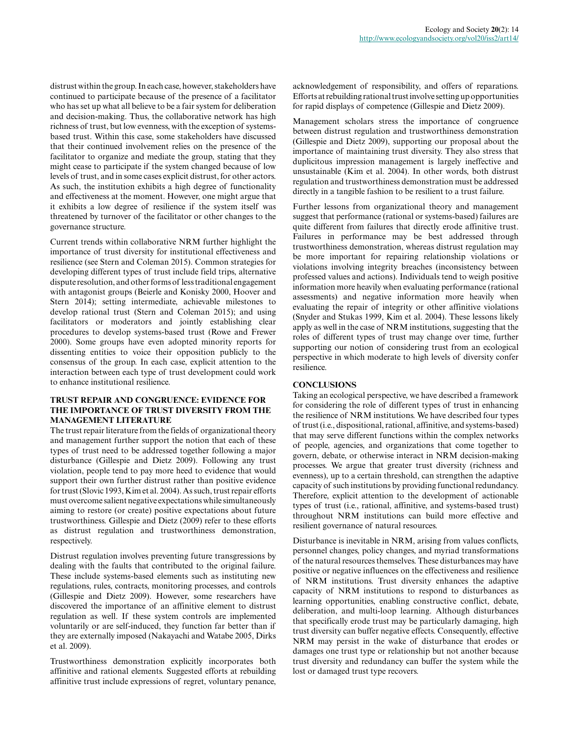distrust within the group. In each case, however, stakeholders have continued to participate because of the presence of a facilitator who has set up what all believe to be a fair system for deliberation and decision-making. Thus, the collaborative network has high richness of trust, but low evenness, with the exception of systemsbased trust. Within this case, some stakeholders have discussed that their continued involvement relies on the presence of the facilitator to organize and mediate the group, stating that they might cease to participate if the system changed because of low levels of trust, and in some cases explicit distrust, for other actors. As such, the institution exhibits a high degree of functionality and effectiveness at the moment. However, one might argue that it exhibits a low degree of resilience if the system itself was threatened by turnover of the facilitator or other changes to the governance structure.

Current trends within collaborative NRM further highlight the importance of trust diversity for institutional effectiveness and resilience (see Stern and Coleman 2015). Common strategies for developing different types of trust include field trips, alternative dispute resolution, and other forms of less traditional engagement with antagonist groups (Beierle and Konisky 2000, Hoover and Stern 2014); setting intermediate, achievable milestones to develop rational trust (Stern and Coleman 2015); and using facilitators or moderators and jointly establishing clear procedures to develop systems-based trust (Rowe and Frewer 2000). Some groups have even adopted minority reports for dissenting entities to voice their opposition publicly to the consensus of the group. In each case, explicit attention to the interaction between each type of trust development could work to enhance institutional resilience.

#### **TRUST REPAIR AND CONGRUENCE: EVIDENCE FOR THE IMPORTANCE OF TRUST DIVERSITY FROM THE MANAGEMENT LITERATURE**

The trust repair literature from the fields of organizational theory and management further support the notion that each of these types of trust need to be addressed together following a major disturbance (Gillespie and Dietz 2009). Following any trust violation, people tend to pay more heed to evidence that would support their own further distrust rather than positive evidence for trust (Slovic 1993, Kim et al. 2004). As such, trust repair efforts must overcome salient negative expectations while simultaneously aiming to restore (or create) positive expectations about future trustworthiness. Gillespie and Dietz (2009) refer to these efforts as distrust regulation and trustworthiness demonstration, respectively.

Distrust regulation involves preventing future transgressions by dealing with the faults that contributed to the original failure. These include systems-based elements such as instituting new regulations, rules, contracts, monitoring processes, and controls (Gillespie and Dietz 2009). However, some researchers have discovered the importance of an affinitive element to distrust regulation as well. If these system controls are implemented voluntarily or are self-induced, they function far better than if they are externally imposed (Nakayachi and Watabe 2005, Dirks et al. 2009).

Trustworthiness demonstration explicitly incorporates both affinitive and rational elements. Suggested efforts at rebuilding affinitive trust include expressions of regret, voluntary penance,

acknowledgement of responsibility, and offers of reparations. Efforts at rebuilding rational trust involve setting up opportunities for rapid displays of competence (Gillespie and Dietz 2009).

Management scholars stress the importance of congruence between distrust regulation and trustworthiness demonstration (Gillespie and Dietz 2009), supporting our proposal about the importance of maintaining trust diversity. They also stress that duplicitous impression management is largely ineffective and unsustainable (Kim et al. 2004). In other words, both distrust regulation and trustworthiness demonstration must be addressed directly in a tangible fashion to be resilient to a trust failure.

Further lessons from organizational theory and management suggest that performance (rational or systems-based) failures are quite different from failures that directly erode affinitive trust. Failures in performance may be best addressed through trustworthiness demonstration, whereas distrust regulation may be more important for repairing relationship violations or violations involving integrity breaches (inconsistency between professed values and actions). Individuals tend to weigh positive information more heavily when evaluating performance (rational assessments) and negative information more heavily when evaluating the repair of integrity or other affinitive violations (Snyder and Stukas 1999, Kim et al. 2004). These lessons likely apply as well in the case of NRM institutions, suggesting that the roles of different types of trust may change over time, further supporting our notion of considering trust from an ecological perspective in which moderate to high levels of diversity confer resilience.

### **CONCLUSIONS**

Taking an ecological perspective, we have described a framework for considering the role of different types of trust in enhancing the resilience of NRM institutions. We have described four types of trust (i.e., dispositional, rational, affinitive, and systems-based) that may serve different functions within the complex networks of people, agencies, and organizations that come together to govern, debate, or otherwise interact in NRM decision-making processes. We argue that greater trust diversity (richness and evenness), up to a certain threshold, can strengthen the adaptive capacity of such institutions by providing functional redundancy. Therefore, explicit attention to the development of actionable types of trust (i.e., rational, affinitive, and systems-based trust) throughout NRM institutions can build more effective and resilient governance of natural resources.

Disturbance is inevitable in NRM, arising from values conflicts, personnel changes, policy changes, and myriad transformations of the natural resources themselves. These disturbances may have positive or negative influences on the effectiveness and resilience of NRM institutions. Trust diversity enhances the adaptive capacity of NRM institutions to respond to disturbances as learning opportunities, enabling constructive conflict, debate, deliberation, and multi-loop learning. Although disturbances that specifically erode trust may be particularly damaging, high trust diversity can buffer negative effects. Consequently, effective NRM may persist in the wake of disturbance that erodes or damages one trust type or relationship but not another because trust diversity and redundancy can buffer the system while the lost or damaged trust type recovers.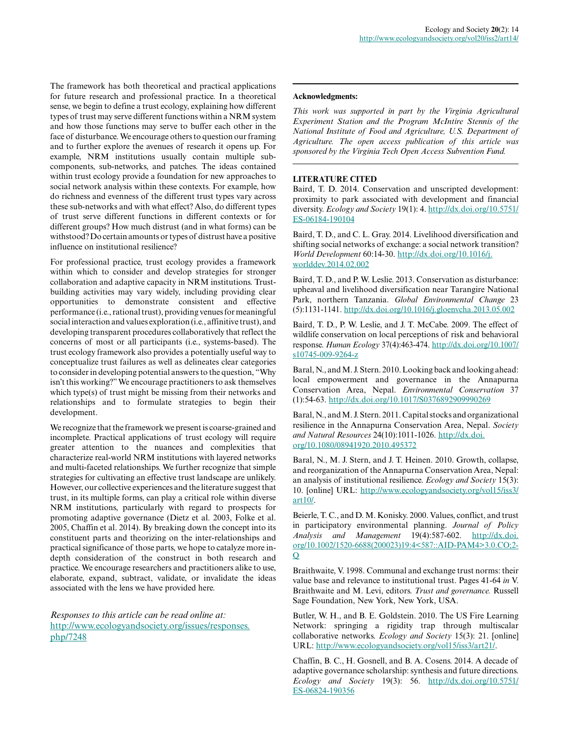The framework has both theoretical and practical applications for future research and professional practice. In a theoretical sense, we begin to define a trust ecology, explaining how different types of trust may serve different functions within a NRM system and how those functions may serve to buffer each other in the face of disturbance. We encourage others to question our framing and to further explore the avenues of research it opens up. For example, NRM institutions usually contain multiple subcomponents, sub-networks, and patches. The ideas contained within trust ecology provide a foundation for new approaches to social network analysis within these contexts. For example, how do richness and evenness of the different trust types vary across these sub-networks and with what effect? Also, do different types of trust serve different functions in different contexts or for different groups? How much distrust (and in what forms) can be withstood? Do certain amounts or types of distrust have a positive influence on institutional resilience?

For professional practice, trust ecology provides a framework within which to consider and develop strategies for stronger collaboration and adaptive capacity in NRM institutions. Trustbuilding activities may vary widely, including providing clear opportunities to demonstrate consistent and effective performance (i.e., rational trust), providing venues for meaningful social interaction and values exploration (i.e., affinitive trust), and developing transparent procedures collaboratively that reflect the concerns of most or all participants (i.e., systems-based). The trust ecology framework also provides a potentially useful way to conceptualize trust failures as well as delineates clear categories to consider in developing potential answers to the question, "Why isn't this working?" We encourage practitioners to ask themselves which type(s) of trust might be missing from their networks and relationships and to formulate strategies to begin their development.

We recognize that the framework we present is coarse-grained and incomplete. Practical applications of trust ecology will require greater attention to the nuances and complexities that characterize real-world NRM institutions with layered networks and multi-faceted relationships. We further recognize that simple strategies for cultivating an effective trust landscape are unlikely. However, our collective experiences and the literature suggest that trust, in its multiple forms, can play a critical role within diverse NRM institutions, particularly with regard to prospects for promoting adaptive governance (Dietz et al. 2003, Folke et al. 2005, Chaffin et al. 2014). By breaking down the concept into its constituent parts and theorizing on the inter-relationships and practical significance of those parts, we hope to catalyze more indepth consideration of the construct in both research and practice. We encourage researchers and practitioners alike to use, elaborate, expand, subtract, validate, or invalidate the ideas associated with the lens we have provided here.

*Responses to this article can be read online at:* [http://www.ecologyandsociety.org/issues/responses.](http://www.ecologyandsociety.org/issues/responses.php/7248) [php/7248](http://www.ecologyandsociety.org/issues/responses.php/7248)

#### **Acknowledgments:**

*This work was supported in part by the Virginia Agricultural Experiment Station and the Program McIntire Stennis of the National Institute of Food and Agriculture, U.S. Department of Agriculture. The open access publication of this article was sponsored by the Virginia Tech Open Access Subvention Fund.*

#### **LITERATURE CITED**

Baird, T. D. 2014. Conservation and unscripted development: proximity to park associated with development and financial diversity. *Ecology and Society* 19(1): 4. [http://dx.doi.org/10.5751/](http://dx.doi.org/10.5751/ES-06184-190104) [ES-06184-190104](http://dx.doi.org/10.5751/ES-06184-190104)

Baird, T. D., and C. L. Gray. 2014. Livelihood diversification and shifting social networks of exchange: a social network transition? *World Development* 60:14-30. [http://dx.doi.org/10.1016/j.](http://dx.doi.org/10.1016/j.worlddev.2014.02.002) [worlddev.2014.02.002](http://dx.doi.org/10.1016/j.worlddev.2014.02.002)

Baird, T. D., and P. W. Leslie. 2013. Conservation as disturbance: upheaval and livelihood diversification near Tarangire National Park, northern Tanzania. *Global Environmental Change* 23 (5):1131-1141.<http://dx.doi.org/10.1016/j.gloenvcha.2013.05.002>

Baird, T. D., P. W. Leslie, and J. T. McCabe. 2009. The effect of wildlife conservation on local perceptions of risk and behavioral response. *Human Ecology* 37(4):463-474. [http://dx.doi.org/10.1007/](http://dx.doi.org/10.1007/s10745-009-9264-z) [s10745-009-9264-z](http://dx.doi.org/10.1007/s10745-009-9264-z)

Baral, N., and M. J. Stern. 2010. Looking back and looking ahead: local empowerment and governance in the Annapurna Conservation Area, Nepal. *Environmental Conservation* 37 (1):54-63. <http://dx.doi.org/10.1017/S0376892909990269>

Baral, N., and M. J. Stern. 2011. Capital stocks and organizational resilience in the Annapurna Conservation Area, Nepal. *Society and Natural Resources* 24(10):1011-1026. [http://dx.doi.](http://dx.doi.org/10.1080/08941920.2010.495372) [org/10.1080/08941920.2010.495372](http://dx.doi.org/10.1080/08941920.2010.495372)

Baral, N., M. J. Stern, and J. T. Heinen. 2010. Growth, collapse, and reorganization of the Annapurna Conservation Area, Nepal: an analysis of institutional resilience. *Ecology and Society* 15(3): 10. [online] URL: [http://www.ecologyandsociety.org/vol15/iss3/](http://www.ecologyandsociety.org/vol15/iss3/art10/) [art10/](http://www.ecologyandsociety.org/vol15/iss3/art10/).

Beierle, T. C., and D. M. Konisky. 2000. Values, conflict, and trust in participatory environmental planning. *Journal of Policy Analysis and Management* 19(4):587-602. [http://dx.doi.](http://dx.doi.org/10.1002/1520-6688%28200023%2919%3A4%3C587%3A%3AAID-PAM4%3E3.0.CO%3B2-Q) [org/10.1002/1520-6688\(200023\)19:4<587::AID-PAM4>3.0.CO;2-](http://dx.doi.org/10.1002/1520-6688%28200023%2919%3A4%3C587%3A%3AAID-PAM4%3E3.0.CO%3B2-Q) [Q](http://dx.doi.org/10.1002/1520-6688%28200023%2919%3A4%3C587%3A%3AAID-PAM4%3E3.0.CO%3B2-Q) 

Braithwaite, V. 1998. Communal and exchange trust norms: their value base and relevance to institutional trust. Pages 41-64 *in* V. Braithwaite and M. Levi, editors. *Trust and governance.* Russell Sage Foundation, New York, New York, USA.

Butler, W. H., and B. E. Goldstein. 2010. The US Fire Learning Network: springing a rigidity trap through multiscalar collaborative networks. *Ecology and Society* 15(3): 21. [online] URL: [http://www.ecologyandsociety.org/vol15/iss3/art21/.](http://www.ecologyandsociety.org/vol15/iss3/art21/)

Chaffin, B. C., H. Gosnell, and B. A. Cosens. 2014. A decade of adaptive governance scholarship: synthesis and future directions. *Ecology and Society* 19(3): 56. [http://dx.doi.org/10.5751/](http://dx.doi.org/10.5751/ES-06824-190356) [ES-06824-190356](http://dx.doi.org/10.5751/ES-06824-190356)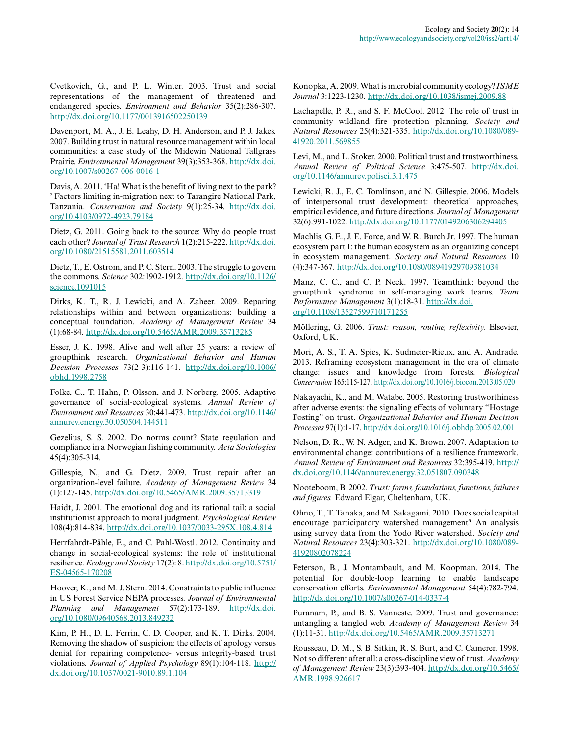Cvetkovich, G., and P. L. Winter. 2003. Trust and social representations of the management of threatened and endangered species. *Environment and Behavior* 35(2):286-307. <http://dx.doi.org/10.1177/0013916502250139>

Davenport, M. A., J. E. Leahy, D. H. Anderson, and P. J. Jakes. 2007. Building trust in natural resource management within local communities: a case study of the Midewin National Tallgrass Prairie. *Environmental Management* 39(3):353-368. [http://dx.doi.](http://dx.doi.org/10.1007/s00267-006-0016-1) [org/10.1007/s00267-006-0016-1](http://dx.doi.org/10.1007/s00267-006-0016-1)

Davis, A. 2011. 'Ha! What is the benefit of living next to the park? ' Factors limiting in-migration next to Tarangire National Park, Tanzania. *Conservation and Society* 9(1):25-34. [http://dx.doi.](http://dx.doi.org/10.4103/0972-4923.79184) [org/10.4103/0972-4923.79184](http://dx.doi.org/10.4103/0972-4923.79184)

Dietz, G. 2011. Going back to the source: Why do people trust each other? *Journal of Trust Research* 1(2):215-222. [http://dx.doi.](http://dx.doi.org/10.1080/21515581.2011.603514) [org/10.1080/21515581.2011.603514](http://dx.doi.org/10.1080/21515581.2011.603514)

Dietz, T., E. Ostrom, and P. C. Stern. 2003. The struggle to govern the commons. *Science* 302:1902-1912. [http://dx.doi.org/10.1126/](http://dx.doi.org/10.1126/science.1091015) [science.1091015](http://dx.doi.org/10.1126/science.1091015)

Dirks, K. T., R. J. Lewicki, and A. Zaheer. 2009. Reparing relationships within and between organizations: building a conceptual foundation. *Academy of Management Review* 34 (1):68-84. <http://dx.doi.org/10.5465/AMR.2009.35713285>

Esser, J. K. 1998. Alive and well after 25 years: a review of groupthink research. *Organizational Behavior and Human Decision Processes* 73(2-3):116-141. [http://dx.doi.org/10.1006/](http://dx.doi.org/10.1006/obhd.1998.2758) [obhd.1998.2758](http://dx.doi.org/10.1006/obhd.1998.2758) 

Folke, C., T. Hahn, P. Olsson, and J. Norberg. 2005. Adaptive governance of social-ecological systems. *Annual Review of Environment and Resources* 30:441-473. [http://dx.doi.org/10.1146/](http://dx.doi.org/10.1146/annurev.energy.30.050504.144511) [annurev.energy.30.050504.144511](http://dx.doi.org/10.1146/annurev.energy.30.050504.144511) 

Gezelius, S. S. 2002. Do norms count? State regulation and compliance in a Norwegian fishing community. *Acta Sociologica* 45(4):305-314.

Gillespie, N., and G. Dietz. 2009. Trust repair after an organization-level failure. *Academy of Management Review* 34 (1):127-145. <http://dx.doi.org/10.5465/AMR.2009.35713319>

Haidt, J. 2001. The emotional dog and its rational tail: a social institutionist approach to moral judgment. *Psychological Review* 108(4):814-834.<http://dx.doi.org/10.1037/0033-295X.108.4.814>

Herrfahrdt-Pähle, E., and C. Pahl-Wostl. 2012. Continuity and change in social-ecological systems: the role of institutional resilience. *Ecology and Society* 17(2): 8. [http://dx.doi.org/10.5751/](http://dx.doi.org/10.5751/ES-04565-170208) [ES-04565-170208](http://dx.doi.org/10.5751/ES-04565-170208)

Hoover, K., and M. J. Stern. 2014. Constraints to public influence in US Forest Service NEPA processes. *Journal of Environmental* Planning and Management 57(2):173-189. [http://dx.doi.](http://dx.doi.org/10.1080/09640568.2013.849232) [org/10.1080/09640568.2013.849232](http://dx.doi.org/10.1080/09640568.2013.849232)

Kim, P. H., D. L. Ferrin, C. D. Cooper, and K. T. Dirks. 2004. Removing the shadow of suspicion: the effects of apology versus denial for repairing competence- versus integrity-based trust violations. *Journal of Applied Psychology* 89(1):104-118. [http://](http://dx.doi.org/10.1037/0021-9010.89.1.104) [dx.doi.org/10.1037/0021-9010.89.1.104](http://dx.doi.org/10.1037/0021-9010.89.1.104)

Konopka, A. 2009. What is microbial community ecology? *ISME Journal* 3:1223-1230. <http://dx.doi.org/10.1038/ismej.2009.88>

Lachapelle, P. R., and S. F. McCool. 2012. The role of trust in community wildland fire protection planning. *Society and Natural Resources* 25(4):321-335. [http://dx.doi.org/10.1080/089](http://dx.doi.org/10.1080/08941920.2011.569855) [41920.2011.569855](http://dx.doi.org/10.1080/08941920.2011.569855)

Levi, M., and L. Stoker. 2000. Political trust and trustworthiness. *Annual Review of Political Science* 3:475-507. [http://dx.doi.](http://dx.doi.org/10.1146/annurev.polisci.3.1.475) [org/10.1146/annurev.polisci.3.1.475](http://dx.doi.org/10.1146/annurev.polisci.3.1.475)

Lewicki, R. J., E. C. Tomlinson, and N. Gillespie. 2006. Models of interpersonal trust development: theoretical approaches, empirical evidence, and future directions. *Journal of Management* 32(6):991-1022.<http://dx.doi.org/10.1177/0149206306294405>

Machlis, G. E., J. E. Force, and W. R. Burch Jr. 1997. The human ecosystem part I: the human ecosystem as an organizing concept in ecosystem management. *Society and Natural Resources* 10 (4):347-367. <http://dx.doi.org/10.1080/08941929709381034>

Manz, C. C., and C. P. Neck. 1997. Teamthink: beyond the groupthink syndrome in self-managing work teams. *Team Performance Management* 3(1):18-31. [http://dx.doi.](http://dx.doi.org/10.1108/13527599710171255) [org/10.1108/13527599710171255](http://dx.doi.org/10.1108/13527599710171255) 

Möllering, G. 2006. *Trust: reason, routine, reflexivity.* Elsevier, Oxford, UK.

Mori, A. S., T. A. Spies, K. Sudmeier-Rieux, and A. Andrade. 2013. Reframing ecosystem management in the era of climate change: issues and knowledge from forests. *Biological Conservation* 165:115-127. <http://dx.doi.org/10.1016/j.biocon.2013.05.020>

Nakayachi, K., and M. Watabe. 2005. Restoring trustworthiness after adverse events: the signaling effects of voluntary "Hostage Posting" on trust. *Organizational Behavior and Human Decision Processes* 97(1):1-17. <http://dx.doi.org/10.1016/j.obhdp.2005.02.001>

Nelson, D. R., W. N. Adger, and K. Brown. 2007. Adaptation to environmental change: contributions of a resilience framework. *Annual Review of Environment and Resources* 32:395-419. [http://](http://dx.doi.org/10.1146/annurev.energy.32.051807.090348) [dx.doi.org/10.1146/annurev.energy.32.051807.090348](http://dx.doi.org/10.1146/annurev.energy.32.051807.090348) 

Nooteboom, B. 2002. *Trust: forms, foundations, functions, failures and figures.* Edward Elgar, Cheltenham, UK.

Ohno, T., T. Tanaka, and M. Sakagami. 2010. Does social capital encourage participatory watershed management? An analysis using survey data from the Yodo River watershed. *Society and Natural Resources* 23(4):303-321. [http://dx.doi.org/10.1080/089](http://dx.doi.org/10.1080/08941920802078224) [41920802078224](http://dx.doi.org/10.1080/08941920802078224)

Peterson, B., J. Montambault, and M. Koopman. 2014. The potential for double-loop learning to enable landscape conservation efforts. *Environmental Management* 54(4):782-794. <http://dx.doi.org/10.1007/s00267-014-0337-4>

Puranam, P., and B. S. Vanneste. 2009. Trust and governance: untangling a tangled web. *Academy of Management Review* 34 (1):11-31. <http://dx.doi.org/10.5465/AMR.2009.35713271>

Rousseau, D. M., S. B. Sitkin, R. S. Burt, and C. Camerer. 1998. Not so different after all: a cross-discipline view of trust. *Academy of Management Review* 23(3):393-404. [http://dx.doi.org/10.5465/](http://dx.doi.org/10.5465/AMR.1998.926617) [AMR.1998.926617](http://dx.doi.org/10.5465/AMR.1998.926617)